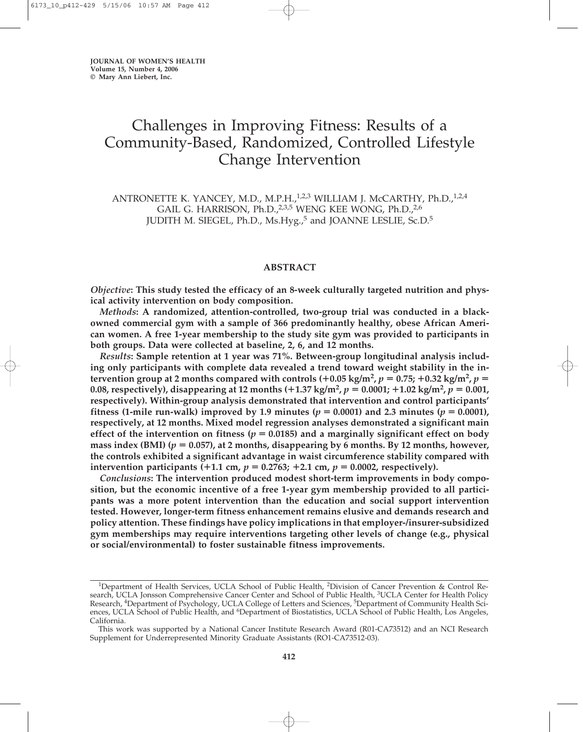# Challenges in Improving Fitness: Results of a Community-Based, Randomized, Controlled Lifestyle Change Intervention

ANTRONETTE K. YANCEY, M.D., M.P.H.,<sup>1,2,3</sup> WILLIAM J. McCARTHY, Ph.D.,<sup>1,2,4</sup> GAIL G. HARRISON, Ph.D.,<sup>2,3,5</sup> WENG KEE WONG, Ph.D.,<sup>2,6</sup> JUDITH M. SIEGEL, Ph.D., Ms.Hyg.,<sup>5</sup> and JOANNE LESLIE, Sc.D.<sup>5</sup>

# **ABSTRACT**

*Objective***: This study tested the efficacy of an 8-week culturally targeted nutrition and physical activity intervention on body composition.**

*Methods***: A randomized, attention-controlled, two-group trial was conducted in a blackowned commercial gym with a sample of 366 predominantly healthy, obese African American women. A free 1-year membership to the study site gym was provided to participants in both groups. Data were collected at baseline, 2, 6, and 12 months.**

*Results***: Sample retention at 1 year was 71%. Between-group longitudinal analysis including only participants with complete data revealed a trend toward weight stability in the intervention group at 2 months compared with controls (+0.05 kg/m<sup>2</sup>,**  $p = 0.75$ **; +0.32 kg/m<sup>2</sup>,**  $p =$ **0.08, respectively), disappearing at 12 months (1.37 kg/m2,** *p* **- 0.0001; 1.02 kg/m2,** *p* **- 0.001, respectively). Within-group analysis demonstrated that intervention and control participants'** fitness (1-mile run-walk) improved by 1.9 minutes ( $p = 0.0001$ ) and 2.3 minutes ( $p = 0.0001$ ), **respectively, at 12 months. Mixed model regression analyses demonstrated a significant main** effect of the intervention on fitness ( $p = 0.0185$ ) and a marginally significant effect on body **mass index (BMI) (***p* **- 0.057), at 2 months, disappearing by 6 months. By 12 months, however, the controls exhibited a significant advantage in waist circumference stability compared with** intervention participants (+1.1 cm,  $p = 0.2763$ ; +2.1 cm,  $p = 0.0002$ , respectively).

*Conclusions***: The intervention produced modest short-term improvements in body composition, but the economic incentive of a free 1-year gym membership provided to all participants was a more potent intervention than the education and social support intervention tested. However, longer-term fitness enhancement remains elusive and demands research and policy attention. These findings have policy implications in that employer-/insurer-subsidized gym memberships may require interventions targeting other levels of change (e.g., physical or social/environmental) to foster sustainable fitness improvements.**

<sup>&</sup>lt;sup>1</sup>Department of Health Services, UCLA School of Public Health, <sup>2</sup>Division of Cancer Prevention & Control Research, UCLA Jonsson Comprehensive Cancer Center and School of Public Health, <sup>3</sup>UCLA Center for Health Policy Research, 4Department of Psychology, UCLA College of Letters and Sciences, 5Department of Community Health Sciences, UCLA School of Public Health, and <sup>6</sup>Department of Biostatistics, UCLA School of Public Health, Los Angeles, California.

This work was supported by a National Cancer Institute Research Award (R01-CA73512) and an NCI Research Supplement for Underrepresented Minority Graduate Assistants (RO1-CA73512-03).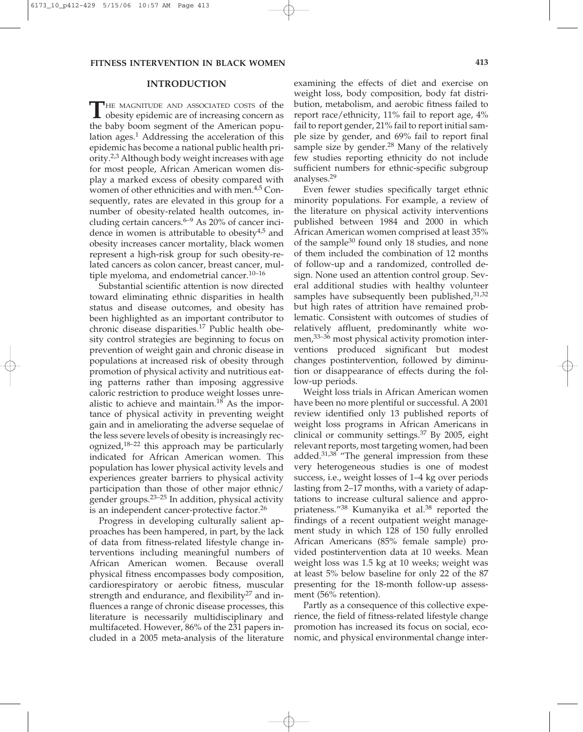# **INTRODUCTION**

**T**HE MAGNITUDE AND ASSOCIATED COSTS of the obesity epidemic are of increasing concern as the baby boom segment of the American population ages. $<sup>1</sup>$  Addressing the acceleration of this</sup> epidemic has become a national public health priority.2,3 Although body weight increases with age for most people, African American women display a marked excess of obesity compared with women of other ethnicities and with men.<sup>4,5</sup> Consequently, rates are elevated in this group for a number of obesity-related health outcomes, including certain cancers. $6-9$  As 20% of cancer incidence in women is attributable to obesity<sup>4,5</sup> and obesity increases cancer mortality, black women represent a high-risk group for such obesity-related cancers as colon cancer, breast cancer, multiple myeloma, and endometrial cancer. $10-16$ 

Substantial scientific attention is now directed toward eliminating ethnic disparities in health status and disease outcomes, and obesity has been highlighted as an important contributor to chronic disease disparities.<sup>17</sup> Public health obesity control strategies are beginning to focus on prevention of weight gain and chronic disease in populations at increased risk of obesity through promotion of physical activity and nutritious eating patterns rather than imposing aggressive caloric restriction to produce weight losses unrealistic to achieve and maintain.18 As the importance of physical activity in preventing weight gain and in ameliorating the adverse sequelae of the less severe levels of obesity is increasingly recognized, $18-22$  this approach may be particularly indicated for African American women. This population has lower physical activity levels and experiences greater barriers to physical activity participation than those of other major ethnic/ gender groups. $23-25$  In addition, physical activity is an independent cancer-protective factor.<sup>26</sup>

Progress in developing culturally salient approaches has been hampered, in part, by the lack of data from fitness-related lifestyle change interventions including meaningful numbers of African American women. Because overall physical fitness encompasses body composition, cardiorespiratory or aerobic fitness, muscular strength and endurance, and flexibility<sup>27</sup> and influences a range of chronic disease processes, this literature is necessarily multidisciplinary and multifaceted. However, 86% of the 231 papers included in a 2005 meta-analysis of the literature

examining the effects of diet and exercise on weight loss, body composition, body fat distribution, metabolism, and aerobic fitness failed to report race/ethnicity, 11% fail to report age, 4% fail to report gender, 21% fail to report initial sample size by gender, and 69% fail to report final sample size by gender.<sup>28</sup> Many of the relatively few studies reporting ethnicity do not include sufficient numbers for ethnic-specific subgroup analyses.29

Even fewer studies specifically target ethnic minority populations. For example, a review of the literature on physical activity interventions published between 1984 and 2000 in which African American women comprised at least 35% of the sample $30$  found only 18 studies, and none of them included the combination of 12 months of follow-up and a randomized, controlled design. None used an attention control group. Several additional studies with healthy volunteer samples have subsequently been published, 31,32 but high rates of attrition have remained problematic. Consistent with outcomes of studies of relatively affluent, predominantly white women,<sup>33–36</sup> most physical activity promotion interventions produced significant but modest changes postintervention, followed by diminution or disappearance of effects during the follow-up periods.

Weight loss trials in African American women have been no more plentiful or successful. A 2001 review identified only 13 published reports of weight loss programs in African Americans in clinical or community settings.37 By 2005, eight relevant reports, most targeting women, had been added. $31,38$  "The general impression from these very heterogeneous studies is one of modest success, i.e., weight losses of 1–4 kg over periods lasting from 2–17 months, with a variety of adaptations to increase cultural salience and appropriateness."<sup>38</sup> Kumanyika et al.<sup>38</sup> reported the findings of a recent outpatient weight management study in which 128 of 150 fully enrolled African Americans (85% female sample) provided postintervention data at 10 weeks. Mean weight loss was 1.5 kg at 10 weeks; weight was at least 5% below baseline for only 22 of the 87 presenting for the 18-month follow-up assessment (56% retention).

Partly as a consequence of this collective experience, the field of fitness-related lifestyle change promotion has increased its focus on social, economic, and physical environmental change inter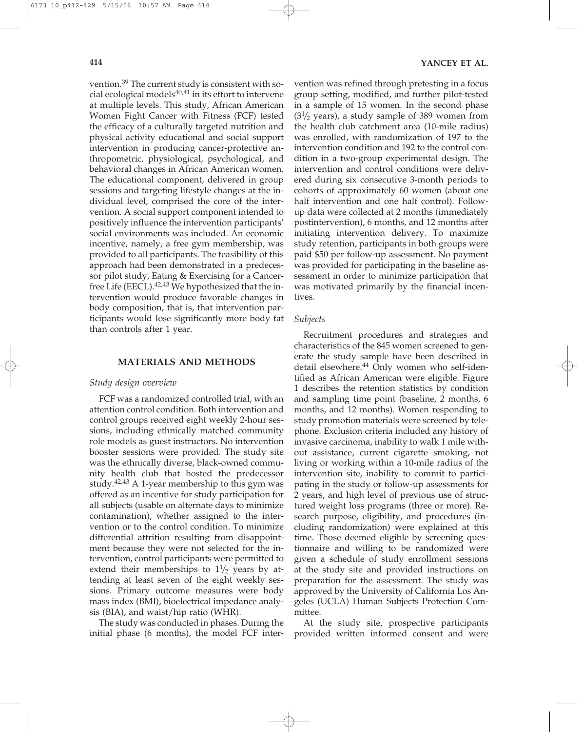vention.<sup>39</sup> The current study is consistent with social ecological models $40,41$  in its effort to intervene at multiple levels. This study, African American Women Fight Cancer with Fitness (FCF) tested the efficacy of a culturally targeted nutrition and physical activity educational and social support intervention in producing cancer-protective anthropometric, physiological, psychological, and behavioral changes in African American women. The educational component, delivered in group sessions and targeting lifestyle changes at the individual level, comprised the core of the intervention. A social support component intended to positively influence the intervention participants' social environments was included. An economic incentive, namely, a free gym membership, was provided to all participants. The feasibility of this approach had been demonstrated in a predecessor pilot study, Eating & Exercising for a Cancerfree Life (EECL).42,43 We hypothesized that the intervention would produce favorable changes in body composition, that is, that intervention participants would lose significantly more body fat than controls after 1 year.

# **MATERIALS AND METHODS**

#### *Study design overview*

FCF was a randomized controlled trial, with an attention control condition. Both intervention and control groups received eight weekly 2-hour sessions, including ethnically matched community role models as guest instructors. No intervention booster sessions were provided. The study site was the ethnically diverse, black-owned community health club that hosted the predecessor study.<sup>42,43</sup> A 1-year membership to this gym was offered as an incentive for study participation for all subjects (usable on alternate days to minimize contamination), whether assigned to the intervention or to the control condition. To minimize differential attrition resulting from disappointment because they were not selected for the intervention, control participants were permitted to extend their memberships to  $1\frac{1}{2}$  years by attending at least seven of the eight weekly sessions. Primary outcome measures were body mass index (BMI), bioelectrical impedance analysis (BIA), and waist/hip ratio (WHR).

The study was conducted in phases. During the initial phase (6 months), the model FCF inter-

vention was refined through pretesting in a focus group setting, modified, and further pilot-tested in a sample of 15 women. In the second phase  $(3<sup>1</sup>/<sub>2</sub> years)$ , a study sample of 389 women from the health club catchment area (10-mile radius) was enrolled, with randomization of 197 to the intervention condition and 192 to the control condition in a two-group experimental design. The intervention and control conditions were delivered during six consecutive 3-month periods to cohorts of approximately 60 women (about one half intervention and one half control). Followup data were collected at 2 months (immediately postintervention), 6 months, and 12 months after initiating intervention delivery. To maximize study retention, participants in both groups were paid \$50 per follow-up assessment. No payment was provided for participating in the baseline assessment in order to minimize participation that was motivated primarily by the financial incentives.

#### *Subjects*

Recruitment procedures and strategies and characteristics of the 845 women screened to generate the study sample have been described in detail elsewhere.<sup>44</sup> Only women who self-identified as African American were eligible. Figure 1 describes the retention statistics by condition and sampling time point (baseline, 2 months, 6 months, and 12 months). Women responding to study promotion materials were screened by telephone. Exclusion criteria included any history of invasive carcinoma, inability to walk 1 mile without assistance, current cigarette smoking, not living or working within a 10-mile radius of the intervention site, inability to commit to participating in the study or follow-up assessments for 2 years, and high level of previous use of structured weight loss programs (three or more). Research purpose, eligibility, and procedures (including randomization) were explained at this time. Those deemed eligible by screening questionnaire and willing to be randomized were given a schedule of study enrollment sessions at the study site and provided instructions on preparation for the assessment. The study was approved by the University of California Los Angeles (UCLA) Human Subjects Protection Committee.

At the study site, prospective participants provided written informed consent and were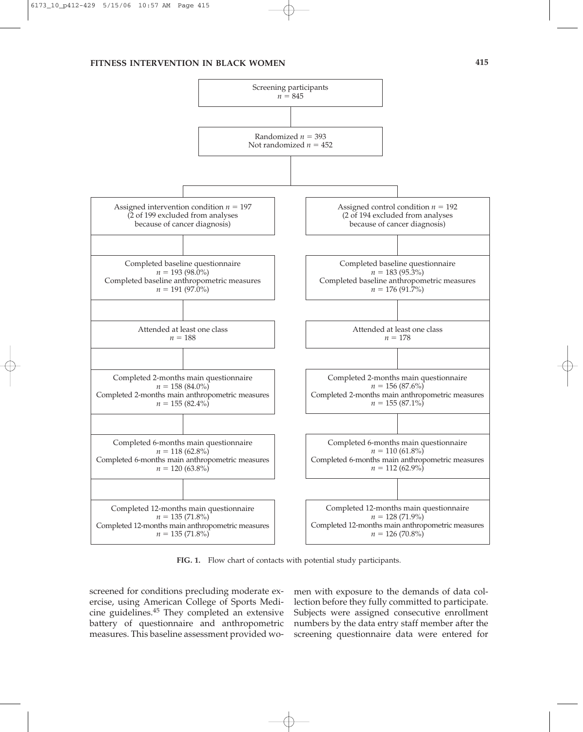

**FIG. 1.** Flow chart of contacts with potential study participants.

screened for conditions precluding moderate exercise, using American College of Sports Medicine guidelines.<sup>45</sup> They completed an extensive battery of questionnaire and anthropometric measures. This baseline assessment provided women with exposure to the demands of data collection before they fully committed to participate. Subjects were assigned consecutive enrollment numbers by the data entry staff member after the screening questionnaire data were entered for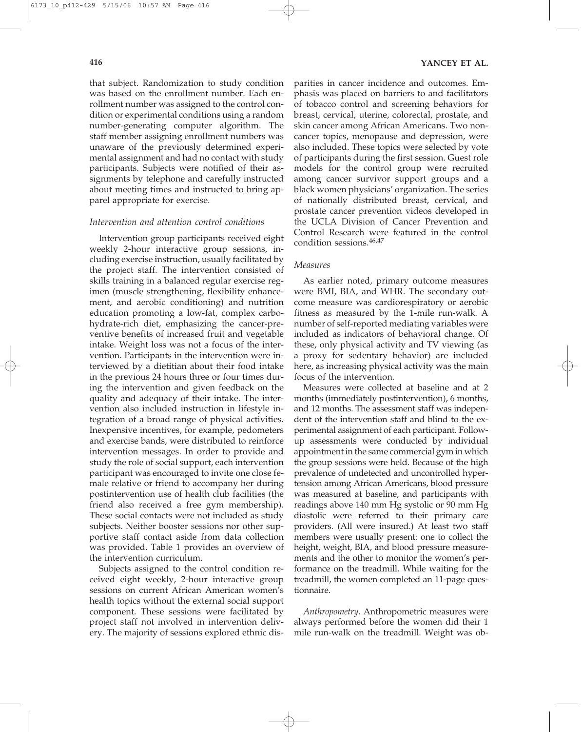that subject. Randomization to study condition was based on the enrollment number. Each enrollment number was assigned to the control condition or experimental conditions using a random number-generating computer algorithm. The staff member assigning enrollment numbers was unaware of the previously determined experimental assignment and had no contact with study participants. Subjects were notified of their assignments by telephone and carefully instructed about meeting times and instructed to bring apparel appropriate for exercise.

#### *Intervention and attention control conditions*

Intervention group participants received eight weekly 2-hour interactive group sessions, including exercise instruction, usually facilitated by the project staff. The intervention consisted of skills training in a balanced regular exercise regimen (muscle strengthening, flexibility enhancement, and aerobic conditioning) and nutrition education promoting a low-fat, complex carbohydrate-rich diet, emphasizing the cancer-preventive benefits of increased fruit and vegetable intake. Weight loss was not a focus of the intervention. Participants in the intervention were interviewed by a dietitian about their food intake in the previous 24 hours three or four times during the intervention and given feedback on the quality and adequacy of their intake. The intervention also included instruction in lifestyle integration of a broad range of physical activities. Inexpensive incentives, for example, pedometers and exercise bands, were distributed to reinforce intervention messages. In order to provide and study the role of social support, each intervention participant was encouraged to invite one close female relative or friend to accompany her during postintervention use of health club facilities (the friend also received a free gym membership). These social contacts were not included as study subjects. Neither booster sessions nor other supportive staff contact aside from data collection was provided. Table 1 provides an overview of the intervention curriculum.

Subjects assigned to the control condition received eight weekly, 2-hour interactive group sessions on current African American women's health topics without the external social support component. These sessions were facilitated by project staff not involved in intervention delivery. The majority of sessions explored ethnic disparities in cancer incidence and outcomes. Emphasis was placed on barriers to and facilitators of tobacco control and screening behaviors for breast, cervical, uterine, colorectal, prostate, and skin cancer among African Americans. Two noncancer topics, menopause and depression, were also included. These topics were selected by vote of participants during the first session. Guest role models for the control group were recruited among cancer survivor support groups and a black women physicians' organization. The series of nationally distributed breast, cervical, and prostate cancer prevention videos developed in the UCLA Division of Cancer Prevention and Control Research were featured in the control condition sessions.46,47

#### *Measures*

As earlier noted, primary outcome measures were BMI, BIA, and WHR. The secondary outcome measure was cardiorespiratory or aerobic fitness as measured by the 1-mile run-walk. A number of self-reported mediating variables were included as indicators of behavioral change. Of these, only physical activity and TV viewing (as a proxy for sedentary behavior) are included here, as increasing physical activity was the main focus of the intervention.

Measures were collected at baseline and at 2 months (immediately postintervention), 6 months, and 12 months. The assessment staff was independent of the intervention staff and blind to the experimental assignment of each participant. Followup assessments were conducted by individual appointment in the same commercial gym in which the group sessions were held. Because of the high prevalence of undetected and uncontrolled hypertension among African Americans, blood pressure was measured at baseline, and participants with readings above 140 mm Hg systolic or 90 mm Hg diastolic were referred to their primary care providers. (All were insured.) At least two staff members were usually present: one to collect the height, weight, BIA, and blood pressure measurements and the other to monitor the women's performance on the treadmill. While waiting for the treadmill, the women completed an 11-page questionnaire.

*Anthropometry*. Anthropometric measures were always performed before the women did their 1 mile run-walk on the treadmill. Weight was ob-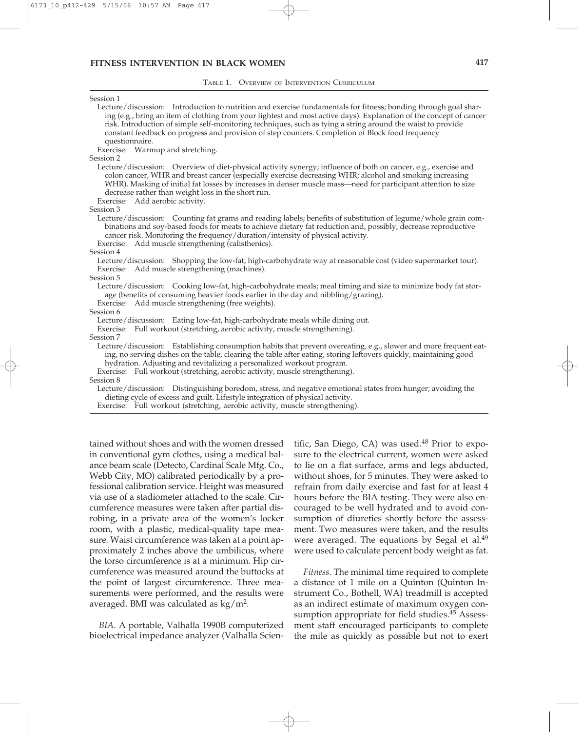#### Session 1

Lecture/discussion: Introduction to nutrition and exercise fundamentals for fitness; bonding through goal sharing (e.g., bring an item of clothing from your lightest and most active days). Explanation of the concept of cancer risk. Introduction of simple self-monitoring techniques, such as tying a string around the waist to provide constant feedback on progress and provision of step counters. Completion of Block food frequency questionnaire.

Exercise: Warmup and stretching.

Session 2

Lecture/discussion: Overview of diet-physical activity synergy; influence of both on cancer, e.g., exercise and colon cancer, WHR and breast cancer (especially exercise decreasing WHR; alcohol and smoking increasing WHR). Masking of initial fat losses by increases in denser muscle mass—need for participant attention to size decrease rather than weight loss in the short run.

Exercise: Add aerobic activity.

Session 3

Lecture/discussion: Counting fat grams and reading labels; benefits of substitution of legume/whole grain combinations and soy-based foods for meats to achieve dietary fat reduction and, possibly, decrease reproductive cancer risk. Monitoring the frequency/duration/intensity of physical activity.

Exercise: Add muscle strengthening (calisthenics).

Session 4

Lecture/discussion: Shopping the low-fat, high-carbohydrate way at reasonable cost (video supermarket tour). Exercise: Add muscle strengthening (machines).

Session 5

Lecture/discussion: Cooking low-fat, high-carbohydrate meals; meal timing and size to minimize body fat storage (benefits of consuming heavier foods earlier in the day and nibbling/grazing).

Exercise: Add muscle strengthening (free weights).

Session 6

Lecture/discussion: Eating low-fat, high-carbohydrate meals while dining out.

Exercise: Full workout (stretching, aerobic activity, muscle strengthening).

Session 7

Lecture/discussion: Establishing consumption habits that prevent overeating, e.g., slower and more frequent eating, no serving dishes on the table, clearing the table after eating, storing leftovers quickly, maintaining good hydration. Adjusting and revitalizing a personalized workout program.

Exercise: Full workout (stretching, aerobic activity, muscle strengthening).

Session 8

Lecture/discussion: Distinguishing boredom, stress, and negative emotional states from hunger; avoiding the dieting cycle of excess and guilt. Lifestyle integration of physical activity.

Exercise: Full workout (stretching, aerobic activity, muscle strengthening).

tained without shoes and with the women dressed in conventional gym clothes, using a medical balance beam scale (Detecto, Cardinal Scale Mfg. Co., Webb City, MO) calibrated periodically by a professional calibration service. Height was measured via use of a stadiometer attached to the scale. Circumference measures were taken after partial disrobing, in a private area of the women's locker room, with a plastic, medical-quality tape measure. Waist circumference was taken at a point approximately 2 inches above the umbilicus, where the torso circumference is at a minimum. Hip circumference was measured around the buttocks at the point of largest circumference. Three measurements were performed, and the results were averaged. BMI was calculated as  $\text{kg/m}^2$ .

*BIA*. A portable, Valhalla 1990B computerized bioelectrical impedance analyzer (Valhalla Scientific, San Diego, CA) was used. $48$  Prior to exposure to the electrical current, women were asked to lie on a flat surface, arms and legs abducted, without shoes, for 5 minutes. They were asked to refrain from daily exercise and fast for at least 4 hours before the BIA testing. They were also encouraged to be well hydrated and to avoid consumption of diuretics shortly before the assessment. Two measures were taken, and the results were averaged. The equations by Segal et al. $49$ were used to calculate percent body weight as fat.

*Fitness*. The minimal time required to complete a distance of 1 mile on a Quinton (Quinton Instrument Co., Bothell, WA) treadmill is accepted as an indirect estimate of maximum oxygen consumption appropriate for field studies.<sup>45</sup> Assessment staff encouraged participants to complete the mile as quickly as possible but not to exert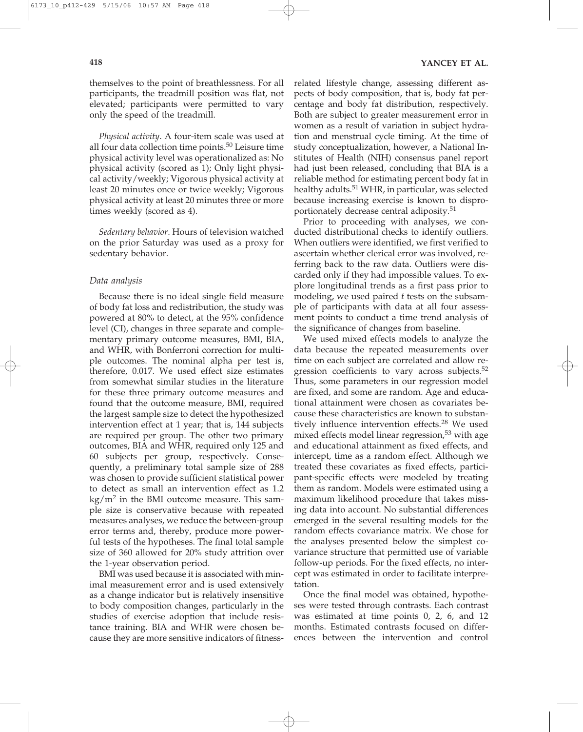themselves to the point of breathlessness. For all participants, the treadmill position was flat, not elevated; participants were permitted to vary only the speed of the treadmill.

*Physical activity*. A four-item scale was used at all four data collection time points.<sup>50</sup> Leisure time physical activity level was operationalized as: No physical activity (scored as 1); Only light physical activity/weekly; Vigorous physical activity at least 20 minutes once or twice weekly; Vigorous physical activity at least 20 minutes three or more times weekly (scored as 4).

*Sedentary behavior*. Hours of television watched on the prior Saturday was used as a proxy for sedentary behavior.

#### *Data analysis*

Because there is no ideal single field measure of body fat loss and redistribution, the study was powered at 80% to detect, at the 95% confidence level (CI), changes in three separate and complementary primary outcome measures, BMI, BIA, and WHR, with Bonferroni correction for multiple outcomes. The nominal alpha per test is, therefore, 0.017. We used effect size estimates from somewhat similar studies in the literature for these three primary outcome measures and found that the outcome measure, BMI, required the largest sample size to detect the hypothesized intervention effect at 1 year; that is, 144 subjects are required per group. The other two primary outcomes, BIA and WHR, required only 125 and 60 subjects per group, respectively. Consequently, a preliminary total sample size of 288 was chosen to provide sufficient statistical power to detect as small an intervention effect as 1.2  $kg/m<sup>2</sup>$  in the BMI outcome measure. This sample size is conservative because with repeated measures analyses, we reduce the between-group error terms and, thereby, produce more powerful tests of the hypotheses. The final total sample size of 360 allowed for 20% study attrition over the 1-year observation period.

BMI was used because it is associated with minimal measurement error and is used extensively as a change indicator but is relatively insensitive to body composition changes, particularly in the studies of exercise adoption that include resistance training. BIA and WHR were chosen because they are more sensitive indicators of fitnessrelated lifestyle change, assessing different aspects of body composition, that is, body fat percentage and body fat distribution, respectively. Both are subject to greater measurement error in women as a result of variation in subject hydration and menstrual cycle timing. At the time of study conceptualization, however, a National Institutes of Health (NIH) consensus panel report had just been released, concluding that BIA is a reliable method for estimating percent body fat in healthy adults.51 WHR, in particular, was selected because increasing exercise is known to disproportionately decrease central adiposity.<sup>51</sup>

Prior to proceeding with analyses, we conducted distributional checks to identify outliers. When outliers were identified, we first verified to ascertain whether clerical error was involved, referring back to the raw data. Outliers were discarded only if they had impossible values. To explore longitudinal trends as a first pass prior to modeling, we used paired *t* tests on the subsample of participants with data at all four assessment points to conduct a time trend analysis of the significance of changes from baseline.

We used mixed effects models to analyze the data because the repeated measurements over time on each subject are correlated and allow regression coefficients to vary across subjects.<sup>52</sup> Thus, some parameters in our regression model are fixed, and some are random. Age and educational attainment were chosen as covariates because these characteristics are known to substantively influence intervention effects.<sup>28</sup> We used mixed effects model linear regression,<sup>53</sup> with age and educational attainment as fixed effects, and intercept, time as a random effect. Although we treated these covariates as fixed effects, participant-specific effects were modeled by treating them as random. Models were estimated using a maximum likelihood procedure that takes missing data into account. No substantial differences emerged in the several resulting models for the random effects covariance matrix. We chose for the analyses presented below the simplest covariance structure that permitted use of variable follow-up periods. For the fixed effects, no intercept was estimated in order to facilitate interpretation.

Once the final model was obtained, hypotheses were tested through contrasts. Each contrast was estimated at time points 0, 2, 6, and 12 months. Estimated contrasts focused on differences between the intervention and control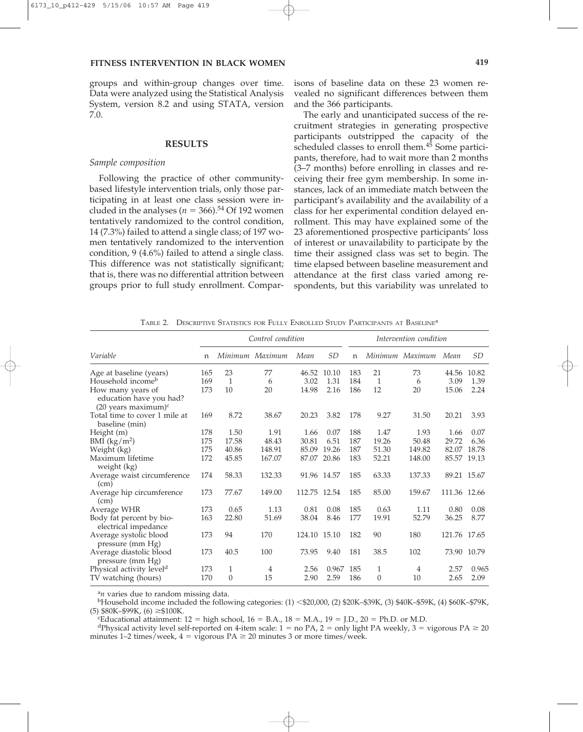groups and within-group changes over time. Data were analyzed using the Statistical Analysis System, version 8.2 and using STATA, version 7.0.

#### **RESULTS**

# *Sample composition*

Following the practice of other communitybased lifestyle intervention trials, only those participating in at least one class session were included in the analyses ( $n = 366$ ).<sup>54</sup> Of 192 women tentatively randomized to the control condition, 14 (7.3%) failed to attend a single class; of 197 women tentatively randomized to the intervention condition, 9 (4.6%) failed to attend a single class. This difference was not statistically significant; that is, there was no differential attrition between groups prior to full study enrollment. Comparisons of baseline data on these 23 women revealed no significant differences between them and the 366 participants.

The early and unanticipated success of the recruitment strategies in generating prospective participants outstripped the capacity of the scheduled classes to enroll them.<sup>45</sup> Some participants, therefore, had to wait more than 2 months (3–7 months) before enrolling in classes and receiving their free gym membership. In some instances, lack of an immediate match between the participant's availability and the availability of a class for her experimental condition delayed enrollment. This may have explained some of the 23 aforementioned prospective participants' loss of interest or unavailability to participate by the time their assigned class was set to begin. The time elapsed between baseline measurement and attendance at the first class varied among respondents, but this variability was unrelated to

TABLE 2. DESCRIPTIVE STATISTICS FOR FULLY ENROLLED STUDY PARTICIPANTS AT BASELINE<sup>a</sup>

|                                                                                | Control condition |          |                 |              |             | Intervention condition |          |                 |              |           |
|--------------------------------------------------------------------------------|-------------------|----------|-----------------|--------------|-------------|------------------------|----------|-----------------|--------------|-----------|
| Variable                                                                       | n                 |          | Minimum Maximum | Mean         | <b>SD</b>   | $\mathsf{n}$           |          | Minimum Maximum | Mean         | <i>SD</i> |
| Age at baseline (years)                                                        | 165               | 23       | 77              | 46.52        | 10.10       | 183                    | 21       | 73              | 44.56        | 10.82     |
| Household income <sup>b</sup>                                                  | 169               | 1        | 6               | 3.02         | 1.31        | 184                    | 1        | 6               | 3.09         | 1.39      |
| How many years of<br>education have you had?<br>$(20 \text{ years maximum})^c$ | 173               | 10       | 20              | 14.98        | 2.16        | 186                    | 12       | 20              | 15.06        | 2.24      |
| Total time to cover 1 mile at<br>baseline (min)                                | 169               | 8.72     | 38.67           | 20.23        | 3.82        | 178                    | 9.27     | 31.50           | 20.21        | 3.93      |
| Height (m)                                                                     | 178               | 1.50     | 1.91            | 1.66         | 0.07        | 188                    | 1.47     | 1.93            | 1.66         | 0.07      |
| BMI $(kg/m2)$                                                                  | 175               | 17.58    | 48.43           | 30.81        | 6.51        | 187                    | 19.26    | 50.48           | 29.72        | 6.36      |
| Weight (kg)                                                                    | 175               | 40.86    | 148.91          | 85.09        | 19.26       | 187                    | 51.30    | 149.82          | 82.07        | 18.78     |
| Maximum lifetime<br>weight (kg)                                                | 172               | 45.85    | 167.07          |              | 87.07 20.86 | 183                    | 52.21    | 148.00          | 85.57 19.13  |           |
| Average waist circumference<br>(cm)                                            | 174               | 58.33    | 132.33          |              | 91.96 14.57 | 185                    | 63.33    | 137.33          | 89.21 15.67  |           |
| Average hip circumference<br>(cm)                                              | 173               | 77.67    | 149.00          | 112.75 12.54 |             | 185                    | 85.00    | 159.67          | 111.36 12.66 |           |
| Average WHR                                                                    | 173               | 0.65     | 1.13            | 0.81         | 0.08        | 185                    | 0.63     | 1.11            | 0.80         | 0.08      |
| Body fat percent by bio-<br>electrical impedance                               | 163               | 22.80    | 51.69           | 38.04        | 8.46        | 177                    | 19.91    | 52.79           | 36.25        | 8.77      |
| Average systolic blood<br>pressure (mm Hg)                                     | 173               | 94       | 170             | 124.10 15.10 |             | 182                    | 90       | 180             | 121.76 17.65 |           |
| Average diastolic blood<br>pressure (mm Hg)                                    | 173               | 40.5     | 100             | 73.95        | 9.40        | 181                    | 38.5     | 102             | 73.90 10.79  |           |
| Physical activity level <sup>d</sup>                                           | 173               | 1        | 4               | 2.56         | 0.967       | 185                    | 1        | 4               | 2.57         | 0.965     |
| TV watching (hours)                                                            | 170               | $\theta$ | 15              | 2.90         | 2.59        | 186                    | $\theta$ | 10              | 2.65         | 2.09      |

<sup>a</sup>n varies due to random missing data.<br><sup>b</sup>Household income included the following categories: (1) <\$20,000, (2) \$20K–\$39K, (3) \$40K–\$59K, (4) \$60K–\$79K,  $(5)$  \$80K–\$99K,  $(6) \geq $100$ K.

Educational attainment:  $12 =$  high school,  $16 =$  B.A.,  $18 =$  M.A.,  $19 =$  J.D.,  $20 =$  Ph.D. or M.D.

<sup>d</sup>Physical activity level self-reported on 4-item scale:  $1 =$  no PA,  $2 =$  only light PA weekly,  $3 =$  vigorous PA  $\geq$  20 minutes 1–2 times/week,  $4 = \text{vigorous PA} \ge 20$  minutes 3 or more times/week.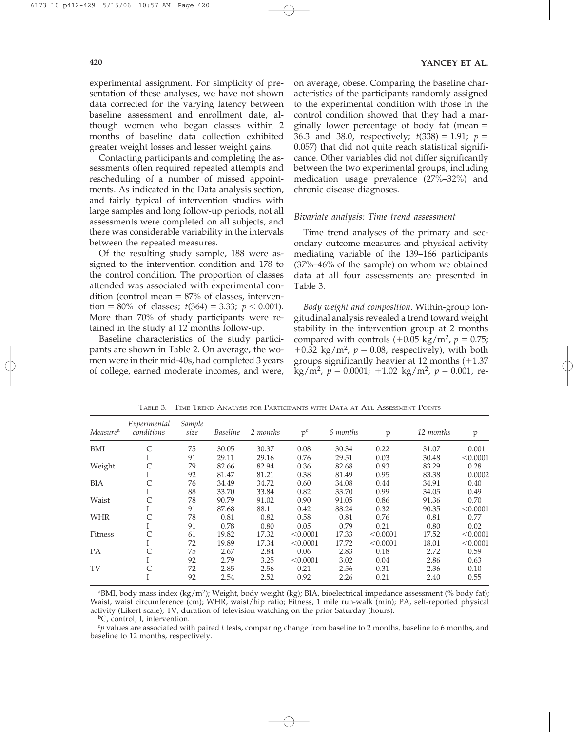experimental assignment. For simplicity of presentation of these analyses, we have not shown data corrected for the varying latency between baseline assessment and enrollment date, although women who began classes within 2 months of baseline data collection exhibited greater weight losses and lesser weight gains.

Contacting participants and completing the assessments often required repeated attempts and rescheduling of a number of missed appointments. As indicated in the Data analysis section, and fairly typical of intervention studies with large samples and long follow-up periods, not all assessments were completed on all subjects, and there was considerable variability in the intervals between the repeated measures.

Of the resulting study sample, 188 were assigned to the intervention condition and 178 to the control condition. The proportion of classes attended was associated with experimental condition (control mean  $= 87\%$  of classes, interven- $\text{tion} = 80\% \text{ of classes; } t(364) = 3.33; \ p \leq 0.001).$ More than 70% of study participants were retained in the study at 12 months follow-up.

Baseline characteristics of the study participants are shown in Table 2. On average, the women were in their mid-40s, had completed 3 years of college, earned moderate incomes, and were, on average, obese. Comparing the baseline characteristics of the participants randomly assigned to the experimental condition with those in the control condition showed that they had a marginally lower percentage of body fat (mean 36.3 and 38.0, respectively;  $t(338) = 1.91$ ;  $p =$ 0.057) that did not quite reach statistical significance. Other variables did not differ significantly between the two experimental groups, including medication usage prevalence (27%–32%) and chronic disease diagnoses.

#### *Bivariate analysis: Time trend assessment*

Time trend analyses of the primary and secondary outcome measures and physical activity mediating variable of the 139–166 participants (37%–46% of the sample) on whom we obtained data at all four assessments are presented in Table 3.

*Body weight and composition*. Within-group longitudinal analysis revealed a trend toward weight stability in the intervention group at 2 months compared with controls  $(+0.05 \text{ kg/m}^2, p = 0.75;$  $+0.32 \text{ kg/m}^2$ ,  $p = 0.08$ , respectively), with both groups significantly heavier at  $12$  months  $(+1.37)$  $\text{kg/m}^2$ ,  $p = 0.0001$ ; +1.02 kg/m<sup>2</sup>,  $p = 0.001$ , re-

| Measure <sup>a</sup> | Experimental<br>conditions | Sample<br>size | <b>Baseline</b> | 2 months | $p^c$    | 6 months | p        | 12 months | p        |
|----------------------|----------------------------|----------------|-----------------|----------|----------|----------|----------|-----------|----------|
| <b>BMI</b>           |                            | 75             | 30.05           | 30.37    | 0.08     | 30.34    | 0.22     | 31.07     | 0.001    |
|                      | $\perp$                    | 91             | 29.11           | 29.16    | 0.76     | 29.51    | 0.03     | 30.48     | < 0.0001 |
| Weight               |                            | 79             | 82.66           | 82.94    | 0.36     | 82.68    | 0.93     | 83.29     | 0.28     |
|                      |                            | 92             | 81.47           | 81.21    | 0.38     | 81.49    | 0.95     | 83.38     | 0.0002   |
| BIA                  |                            | 76             | 34.49           | 34.72    | 0.60     | 34.08    | 0.44     | 34.91     | 0.40     |
|                      |                            | 88             | 33.70           | 33.84    | 0.82     | 33.70    | 0.99     | 34.05     | 0.49     |
| Waist                |                            | 78             | 90.79           | 91.02    | 0.90     | 91.05    | 0.86     | 91.36     | 0.70     |
|                      |                            | 91             | 87.68           | 88.11    | 0.42     | 88.24    | 0.32     | 90.35     | < 0.0001 |
| <b>WHR</b>           |                            | 78             | 0.81            | 0.82     | 0.58     | 0.81     | 0.76     | 0.81      | 0.77     |
|                      |                            | 91             | 0.78            | 0.80     | 0.05     | 0.79     | 0.21     | 0.80      | 0.02     |
| Fitness              |                            | 61             | 19.82           | 17.32    | < 0.0001 | 17.33    | < 0.0001 | 17.52     | < 0.0001 |
|                      | Τ.                         | 72             | 19.89           | 17.34    | < 0.0001 | 17.72    | < 0.0001 | 18.01     | < 0.0001 |
| PA                   |                            | 75             | 2.67            | 2.84     | 0.06     | 2.83     | 0.18     | 2.72      | 0.59     |
|                      | Τ.                         | 92             | 2.79            | 3.25     | < 0.0001 | 3.02     | 0.04     | 2.86      | 0.63     |
| TV                   |                            | 72             | 2.85            | 2.56     | 0.21     | 2.56     | 0.31     | 2.36      | 0.10     |
|                      |                            | 92             | 2.54            | 2.52     | 0.92     | 2.26     | 0.21     | 2.40      | 0.55     |

TABLE 3. TIME TREND ANALYSIS FOR PARTICIPANTS WITH DATA AT ALL ASSESSMENT POINTS

<sup>a</sup>BMI, body mass index (kg/m<sup>2</sup>); Weight, body weight (kg); BIA, bioelectrical impedance assessment (% body fat); Waist, waist circumference (cm); WHR, waist/hip ratio; Fitness, 1 mile run-walk (min); PA, self-reported physical activity (Likert scale); TV, duration of television watching on the prior Saturday (hours).  ${}^{b}C$ , control; I, intervention.

c *p* values are associated with paired *t* tests, comparing change from baseline to 2 months, baseline to 6 months, and baseline to 12 months, respectively.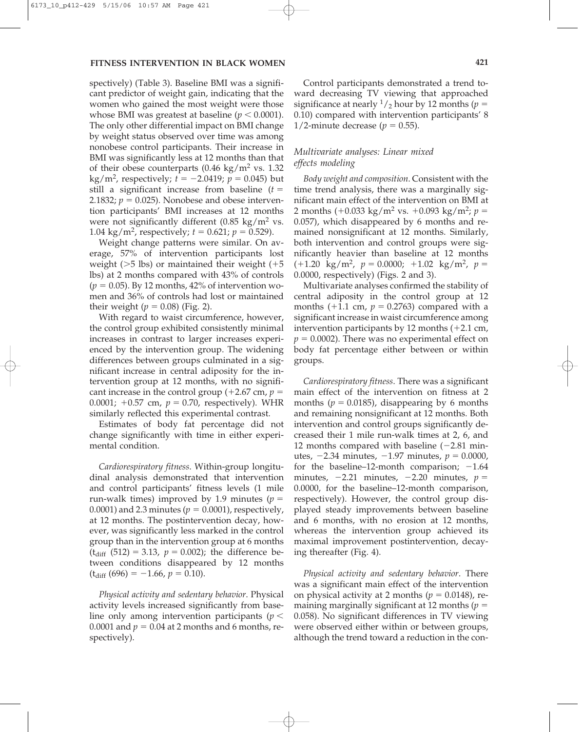# **FITNESS INTERVENTION IN BLACK WOMEN 421**

spectively) (Table 3). Baseline BMI was a significant predictor of weight gain, indicating that the women who gained the most weight were those whose BMI was greatest at baseline  $(p < 0.0001)$ . The only other differential impact on BMI change by weight status observed over time was among nonobese control participants. Their increase in BMI was significantly less at 12 months than that of their obese counterparts  $(0.46 \text{ kg/m}^2 \text{ vs. } 1.32)$  $\text{kg/m}^2$ , respectively;  $t = -2.0419$ ;  $p = 0.045$ ) but still a significant increase from baseline (*t* 2.1832;  $p = 0.025$ ). Nonobese and obese intervention participants' BMI increases at 12 months were not significantly different  $(0.85 \text{ kg/m}^2 \text{ vs.})$ 1.04 kg/m<sup>2</sup>, respectively;  $t = 0.621$ ;  $p = 0.529$ ).

Weight change patterns were similar. On average, 57% of intervention participants lost weight ( $>5$  lbs) or maintained their weight ( $+5$ lbs) at 2 months compared with 43% of controls  $(p = 0.05)$ . By 12 months, 42% of intervention women and 36% of controls had lost or maintained their weight  $(p = 0.08)$  (Fig. 2).

With regard to waist circumference, however, the control group exhibited consistently minimal increases in contrast to larger increases experienced by the intervention group. The widening differences between groups culminated in a significant increase in central adiposity for the intervention group at 12 months, with no significant increase in the control group  $(+2.67 \text{ cm}, p =$ 0.0001;  $+0.57$  cm,  $p = 0.70$ , respectively). WHR similarly reflected this experimental contrast.

Estimates of body fat percentage did not change significantly with time in either experimental condition.

*Cardiorespiratory fitness*. Within-group longitudinal analysis demonstrated that intervention and control participants' fitness levels (1 mile run-walk times) improved by 1.9 minutes ( $p =$ 0.0001) and 2.3 minutes ( $p = 0.0001$ ), respectively, at 12 months. The postintervention decay, however, was significantly less marked in the control group than in the intervention group at 6 months  $(t_{diff}$  (512) = 3.13,  $p = 0.002$ ); the difference between conditions disappeared by 12 months  $(t_{\text{diff}} (696) = -1.66, p = 0.10).$ 

*Physical activity and sedentary behavior*. Physical activity levels increased significantly from baseline only among intervention participants ( $p <$ 0.0001 and  $p = 0.04$  at 2 months and 6 months, respectively).

Control participants demonstrated a trend toward decreasing TV viewing that approached significance at nearly  $\frac{1}{2}$  hour by 12 months (*p* = 0.10) compared with intervention participants' 8 1/2-minute decrease ( $p = 0.55$ ).

# *Multivariate analyses: Linear mixed effects modeling*

*Body weight and composition*. Consistent with the time trend analysis, there was a marginally significant main effect of the intervention on BMI at 2 months  $(+0.033 \text{ kg/m}^2 \text{ vs. } +0.093 \text{ kg/m}^2; p =$ 0.057), which disappeared by 6 months and remained nonsignificant at 12 months. Similarly, both intervention and control groups were significantly heavier than baseline at 12 months  $(+1.20 \text{ kg/m}^2, p = 0.0000; +1.02 \text{ kg/m}^2, p =$ 0.0000, respectively) (Figs. 2 and 3).

Multivariate analyses confirmed the stability of central adiposity in the control group at 12 months  $(+1.1 \text{ cm}, p = 0.2763)$  compared with a significant increase in waist circumference among intervention participants by 12 months  $(+2.1 \text{ cm},$  $p = 0.0002$ ). There was no experimental effect on body fat percentage either between or within groups.

*Cardiorespiratory fitness*. There was a significant main effect of the intervention on fitness at 2 months ( $p = 0.0185$ ), disappearing by 6 months and remaining nonsignificant at 12 months. Both intervention and control groups significantly decreased their 1 mile run-walk times at 2, 6, and 12 months compared with baseline  $(-2.81$  minutes,  $-2.34$  minutes,  $-1.97$  minutes,  $p = 0.0000$ , for the baseline–12-month comparison;  $-1.64$ minutes,  $-2.21$  minutes,  $-2.20$  minutes,  $p =$ 0.0000, for the baseline–12-month comparison, respectively). However, the control group displayed steady improvements between baseline and 6 months, with no erosion at 12 months, whereas the intervention group achieved its maximal improvement postintervention, decaying thereafter (Fig. 4).

*Physical activity and sedentary behavior*. There was a significant main effect of the intervention on physical activity at 2 months ( $p = 0.0148$ ), remaining marginally significant at 12 months (*p* 0.058). No significant differences in TV viewing were observed either within or between groups, although the trend toward a reduction in the con-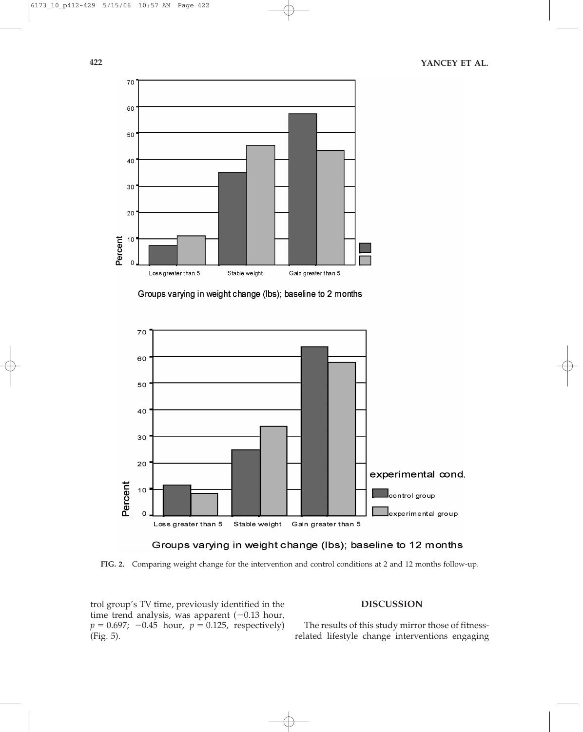

Groups varying in weight change (lbs); baseline to 2 months



# Groups varying in weight change (lbs); baseline to 12 months

**FIG. 2.** Comparing weight change for the intervention and control conditions at 2 and 12 months follow-up.

trol group's TV time, previously identified in the time trend analysis, was apparent  $(-0.13$  hour,  $p = 0.697$ ;  $-0.45$  hour,  $p = 0.125$ , respectively) (Fig. 5).

# **DISCUSSION**

The results of this study mirror those of fitnessrelated lifestyle change interventions engaging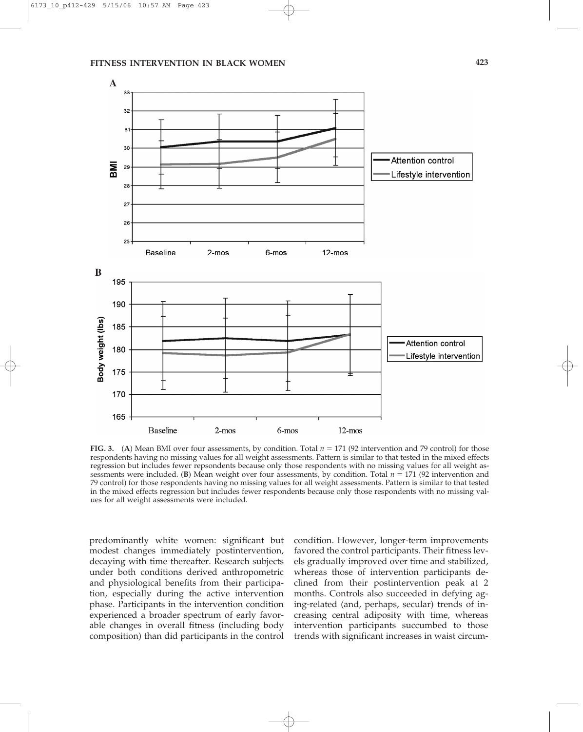

**FIG. 3.** (A) Mean BMI over four assessments, by condition. Total  $n = 171$  (92 intervention and 79 control) for those respondents having no missing values for all weight assessments. Pattern is similar to that tested in the mixed effects regression but includes fewer repsondents because only those respondents with no missing values for all weight assessments were included. (**B**) Mean weight over four assessments, by condition. Total  $n = 171$  (92 intervention and 79 control) for those respondents having no missing values for all weight assessments. Pattern is similar to that tested in the mixed effects regression but includes fewer respondents because only those respondents with no missing values for all weight assessments were included.

predominantly white women: significant but modest changes immediately postintervention, decaying with time thereafter. Research subjects under both conditions derived anthropometric and physiological benefits from their participation, especially during the active intervention phase. Participants in the intervention condition experienced a broader spectrum of early favorable changes in overall fitness (including body composition) than did participants in the control

condition. However, longer-term improvements favored the control participants. Their fitness levels gradually improved over time and stabilized, whereas those of intervention participants declined from their postintervention peak at 2 months. Controls also succeeded in defying aging-related (and, perhaps, secular) trends of increasing central adiposity with time, whereas intervention participants succumbed to those trends with significant increases in waist circum-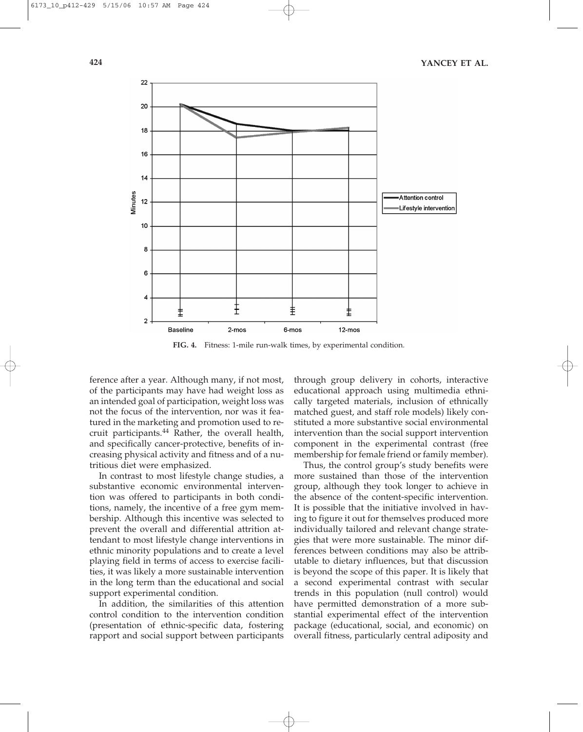

**FIG. 4.** Fitness: 1-mile run-walk times, by experimental condition.

ference after a year. Although many, if not most, of the participants may have had weight loss as an intended goal of participation, weight loss was not the focus of the intervention, nor was it featured in the marketing and promotion used to recruit participants.<sup>44</sup> Rather, the overall health, and specifically cancer-protective, benefits of increasing physical activity and fitness and of a nutritious diet were emphasized.

In contrast to most lifestyle change studies, a substantive economic environmental intervention was offered to participants in both conditions, namely, the incentive of a free gym membership. Although this incentive was selected to prevent the overall and differential attrition attendant to most lifestyle change interventions in ethnic minority populations and to create a level playing field in terms of access to exercise facilities, it was likely a more sustainable intervention in the long term than the educational and social support experimental condition.

In addition, the similarities of this attention control condition to the intervention condition (presentation of ethnic-specific data, fostering rapport and social support between participants through group delivery in cohorts, interactive educational approach using multimedia ethnically targeted materials, inclusion of ethnically matched guest, and staff role models) likely constituted a more substantive social environmental intervention than the social support intervention component in the experimental contrast (free membership for female friend or family member).

Thus, the control group's study benefits were more sustained than those of the intervention group, although they took longer to achieve in the absence of the content-specific intervention. It is possible that the initiative involved in having to figure it out for themselves produced more individually tailored and relevant change strategies that were more sustainable. The minor differences between conditions may also be attributable to dietary influences, but that discussion is beyond the scope of this paper. It is likely that a second experimental contrast with secular trends in this population (null control) would have permitted demonstration of a more substantial experimental effect of the intervention package (educational, social, and economic) on overall fitness, particularly central adiposity and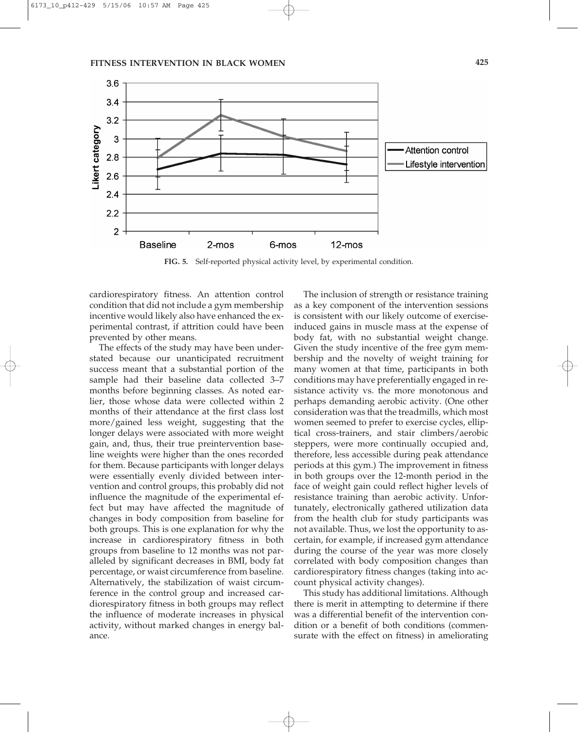

**FIG. 5.** Self-reported physical activity level, by experimental condition.

cardiorespiratory fitness. An attention control condition that did not include a gym membership incentive would likely also have enhanced the experimental contrast, if attrition could have been prevented by other means.

The effects of the study may have been understated because our unanticipated recruitment success meant that a substantial portion of the sample had their baseline data collected 3–7 months before beginning classes. As noted earlier, those whose data were collected within 2 months of their attendance at the first class lost more/gained less weight, suggesting that the longer delays were associated with more weight gain, and, thus, their true preintervention baseline weights were higher than the ones recorded for them. Because participants with longer delays were essentially evenly divided between intervention and control groups, this probably did not influence the magnitude of the experimental effect but may have affected the magnitude of changes in body composition from baseline for both groups. This is one explanation for why the increase in cardiorespiratory fitness in both groups from baseline to 12 months was not paralleled by significant decreases in BMI, body fat percentage, or waist circumference from baseline. Alternatively, the stabilization of waist circumference in the control group and increased cardiorespiratory fitness in both groups may reflect the influence of moderate increases in physical activity, without marked changes in energy balance.

The inclusion of strength or resistance training as a key component of the intervention sessions is consistent with our likely outcome of exerciseinduced gains in muscle mass at the expense of body fat, with no substantial weight change. Given the study incentive of the free gym membership and the novelty of weight training for many women at that time, participants in both conditions may have preferentially engaged in resistance activity vs. the more monotonous and perhaps demanding aerobic activity. (One other consideration was that the treadmills, which most women seemed to prefer to exercise cycles, elliptical cross-trainers, and stair climbers/aerobic steppers, were more continually occupied and, therefore, less accessible during peak attendance periods at this gym.) The improvement in fitness in both groups over the 12-month period in the face of weight gain could reflect higher levels of resistance training than aerobic activity. Unfortunately, electronically gathered utilization data from the health club for study participants was not available. Thus, we lost the opportunity to ascertain, for example, if increased gym attendance during the course of the year was more closely correlated with body composition changes than cardiorespiratory fitness changes (taking into account physical activity changes).

This study has additional limitations. Although there is merit in attempting to determine if there was a differential benefit of the intervention condition or a benefit of both conditions (commensurate with the effect on fitness) in ameliorating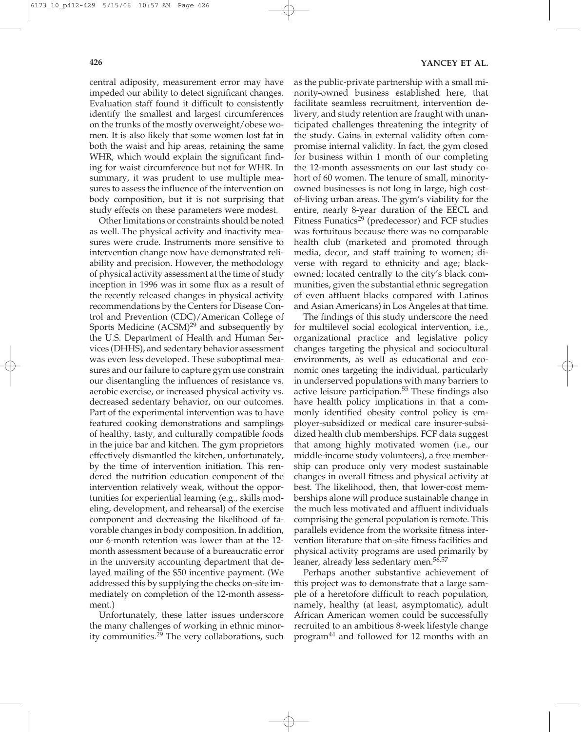central adiposity, measurement error may have impeded our ability to detect significant changes. Evaluation staff found it difficult to consistently identify the smallest and largest circumferences on the trunks of the mostly overweight/obese women. It is also likely that some women lost fat in both the waist and hip areas, retaining the same WHR, which would explain the significant finding for waist circumference but not for WHR. In summary, it was prudent to use multiple measures to assess the influence of the intervention on body composition, but it is not surprising that study effects on these parameters were modest.

Other limitations or constraints should be noted as well. The physical activity and inactivity measures were crude. Instruments more sensitive to intervention change now have demonstrated reliability and precision. However, the methodology of physical activity assessment at the time of study inception in 1996 was in some flux as a result of the recently released changes in physical activity recommendations by the Centers for Disease Control and Prevention (CDC)/American College of Sports Medicine  $(ACSM)^{29}$  and subsequently by the U.S. Department of Health and Human Services (DHHS), and sedentary behavior assessment was even less developed. These suboptimal measures and our failure to capture gym use constrain our disentangling the influences of resistance vs. aerobic exercise, or increased physical activity vs. decreased sedentary behavior, on our outcomes. Part of the experimental intervention was to have featured cooking demonstrations and samplings of healthy, tasty, and culturally compatible foods in the juice bar and kitchen. The gym proprietors effectively dismantled the kitchen, unfortunately, by the time of intervention initiation. This rendered the nutrition education component of the intervention relatively weak, without the opportunities for experiential learning (e.g., skills modeling, development, and rehearsal) of the exercise component and decreasing the likelihood of favorable changes in body composition. In addition, our 6-month retention was lower than at the 12 month assessment because of a bureaucratic error in the university accounting department that delayed mailing of the \$50 incentive payment. (We addressed this by supplying the checks on-site immediately on completion of the 12-month assessment.)

Unfortunately, these latter issues underscore the many challenges of working in ethnic minority communities.<sup>29</sup> The very collaborations, such as the public-private partnership with a small minority-owned business established here, that facilitate seamless recruitment, intervention delivery, and study retention are fraught with unanticipated challenges threatening the integrity of the study. Gains in external validity often compromise internal validity. In fact, the gym closed for business within 1 month of our completing the 12-month assessments on our last study cohort of 60 women. The tenure of small, minorityowned businesses is not long in large, high costof-living urban areas. The gym's viability for the entire, nearly 8-year duration of the EECL and Fitness Funatics $29$  (predecessor) and FCF studies was fortuitous because there was no comparable health club (marketed and promoted through media, decor, and staff training to women; diverse with regard to ethnicity and age; blackowned; located centrally to the city's black communities, given the substantial ethnic segregation of even affluent blacks compared with Latinos and Asian Americans) in Los Angeles at that time.

The findings of this study underscore the need for multilevel social ecological intervention, i.e., organizational practice and legislative policy changes targeting the physical and sociocultural environments, as well as educational and economic ones targeting the individual, particularly in underserved populations with many barriers to active leisure participation.<sup>55</sup> These findings also have health policy implications in that a commonly identified obesity control policy is employer-subsidized or medical care insurer-subsidized health club memberships. FCF data suggest that among highly motivated women (i.e., our middle-income study volunteers), a free membership can produce only very modest sustainable changes in overall fitness and physical activity at best. The likelihood, then, that lower-cost memberships alone will produce sustainable change in the much less motivated and affluent individuals comprising the general population is remote. This parallels evidence from the worksite fitness intervention literature that on-site fitness facilities and physical activity programs are used primarily by leaner, already less sedentary men.<sup>56,57</sup>

Perhaps another substantive achievement of this project was to demonstrate that a large sample of a heretofore difficult to reach population, namely, healthy (at least, asymptomatic), adult African American women could be successfully recruited to an ambitious 8-week lifestyle change program<sup>44</sup> and followed for 12 months with an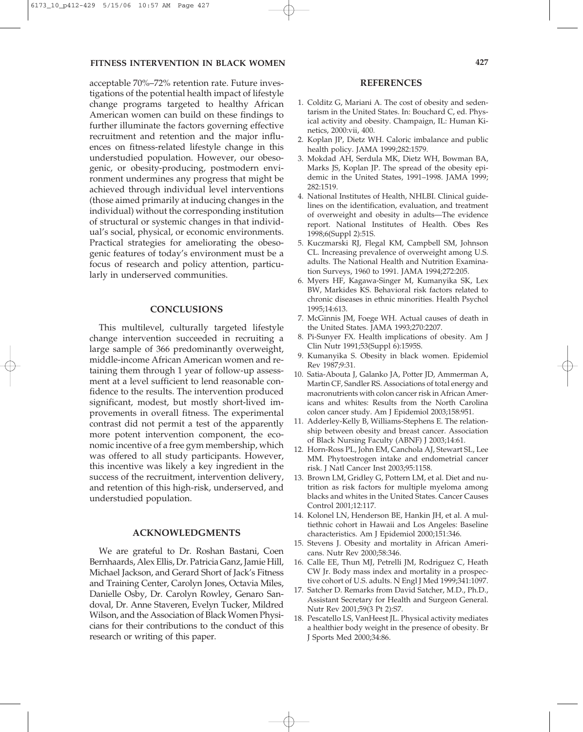# **FITNESS INTERVENTION IN BLACK WOMEN 427**

acceptable 70%–72% retention rate. Future investigations of the potential health impact of lifestyle change programs targeted to healthy African American women can build on these findings to further illuminate the factors governing effective recruitment and retention and the major influences on fitness-related lifestyle change in this understudied population. However, our obesogenic, or obesity-producing, postmodern environment undermines any progress that might be achieved through individual level interventions (those aimed primarily at inducing changes in the individual) without the corresponding institution of structural or systemic changes in that individual's social, physical, or economic environments. Practical strategies for ameliorating the obesogenic features of today's environment must be a focus of research and policy attention, particularly in underserved communities.

#### **CONCLUSIONS**

This multilevel, culturally targeted lifestyle change intervention succeeded in recruiting a large sample of 366 predominantly overweight, middle-income African American women and retaining them through 1 year of follow-up assessment at a level sufficient to lend reasonable confidence to the results. The intervention produced significant, modest, but mostly short-lived improvements in overall fitness. The experimental contrast did not permit a test of the apparently more potent intervention component, the economic incentive of a free gym membership, which was offered to all study participants. However, this incentive was likely a key ingredient in the success of the recruitment, intervention delivery, and retention of this high-risk, underserved, and understudied population.

#### **ACKNOWLEDGMENTS**

We are grateful to Dr. Roshan Bastani, Coen Bernhaards, Alex Ellis, Dr. Patricia Ganz, Jamie Hill, Michael Jackson, and Gerard Short of Jack's Fitness and Training Center, Carolyn Jones, Octavia Miles, Danielle Osby, Dr. Carolyn Rowley, Genaro Sandoval, Dr. Anne Staveren, Evelyn Tucker, Mildred Wilson, and the Association of Black Women Physicians for their contributions to the conduct of this research or writing of this paper.

#### **REFERENCES**

- 1. Colditz G, Mariani A. The cost of obesity and sedentarism in the United States. In: Bouchard C, ed. Physical activity and obesity. Champaign, IL: Human Kinetics, 2000:vii, 400.
- 2. Koplan JP, Dietz WH. Caloric imbalance and public health policy. JAMA 1999;282:1579.
- 3. Mokdad AH, Serdula MK, Dietz WH, Bowman BA, Marks JS, Koplan JP. The spread of the obesity epidemic in the United States, 1991–1998. JAMA 1999; 282:1519.
- 4. National Institutes of Health, NHLBI. Clinical guidelines on the identification, evaluation, and treatment of overweight and obesity in adults—The evidence report. National Institutes of Health. Obes Res 1998;6(Suppl 2):51S.
- 5. Kuczmarski RJ, Flegal KM, Campbell SM, Johnson CL. Increasing prevalence of overweight among U.S. adults. The National Health and Nutrition Examination Surveys, 1960 to 1991. JAMA 1994;272:205.
- 6. Myers HF, Kagawa-Singer M, Kumanyika SK, Lex BW, Markides KS. Behavioral risk factors related to chronic diseases in ethnic minorities. Health Psychol 1995;14:613.
- 7. McGinnis JM, Foege WH. Actual causes of death in the United States. JAMA 1993;270:2207.
- 8. Pi-Sunyer FX. Health implications of obesity. Am J Clin Nutr 1991;53(Suppl 6):1595S.
- 9. Kumanyika S. Obesity in black women. Epidemiol Rev 1987;9:31.
- 10. Satia-Abouta J, Galanko JA, Potter JD, Ammerman A, Martin CF, Sandler RS. Associations of total energy and macronutrients with colon cancer risk in African Americans and whites: Results from the North Carolina colon cancer study. Am J Epidemiol 2003;158:951.
- 11. Adderley-Kelly B, Williams-Stephens E. The relationship between obesity and breast cancer. Association of Black Nursing Faculty (ABNF) J 2003;14:61.
- 12. Horn-Ross PL, John EM, Canchola AJ, Stewart SL, Lee MM. Phytoestrogen intake and endometrial cancer risk. J Natl Cancer Inst 2003;95:1158.
- 13. Brown LM, Gridley G, Pottern LM, et al. Diet and nutrition as risk factors for multiple myeloma among blacks and whites in the United States. Cancer Causes Control 2001;12:117.
- 14. Kolonel LN, Henderson BE, Hankin JH, et al. A multiethnic cohort in Hawaii and Los Angeles: Baseline characteristics. Am J Epidemiol 2000;151:346.
- 15. Stevens J. Obesity and mortality in African Americans. Nutr Rev 2000;58:346.
- 16. Calle EE, Thun MJ, Petrelli JM, Rodriguez C, Heath CW Jr. Body mass index and mortality in a prospective cohort of U.S. adults. N Engl J Med 1999;341:1097.
- 17. Satcher D. Remarks from David Satcher, M.D., Ph.D., Assistant Secretary for Health and Surgeon General. Nutr Rev 2001;59(3 Pt 2):S7.
- 18. Pescatello LS, VanHeest JL. Physical activity mediates a healthier body weight in the presence of obesity. Br J Sports Med 2000;34:86.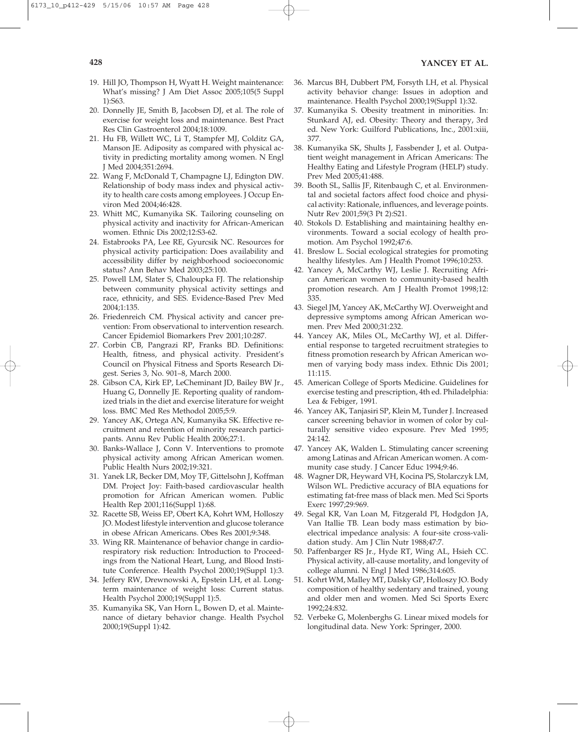- 19. Hill JO, Thompson H, Wyatt H. Weight maintenance: What's missing? J Am Diet Assoc 2005;105(5 Suppl 1):S63.
- 20. Donnelly JE, Smith B, Jacobsen DJ, et al. The role of exercise for weight loss and maintenance. Best Pract Res Clin Gastroenterol 2004;18:1009.
- 21. Hu FB, Willett WC, Li T, Stampfer MJ, Colditz GA, Manson JE. Adiposity as compared with physical activity in predicting mortality among women. N Engl J Med 2004;351:2694.
- 22. Wang F, McDonald T, Champagne LJ, Edington DW. Relationship of body mass index and physical activity to health care costs among employees. J Occup Environ Med 2004;46:428.
- 23. Whitt MC, Kumanyika SK. Tailoring counseling on physical activity and inactivity for African-American women. Ethnic Dis 2002;12:S3-62.
- 24. Estabrooks PA, Lee RE, Gyurcsik NC. Resources for physical activity participation: Does availability and accessibility differ by neighborhood socioeconomic status? Ann Behav Med 2003;25:100.
- 25. Powell LM, Slater S, Chaloupka FJ. The relationship between community physical activity settings and race, ethnicity, and SES. Evidence-Based Prev Med 2004;1:135.
- 26. Friedenreich CM. Physical activity and cancer prevention: From observational to intervention research. Cancer Epidemiol Biomarkers Prev 2001;10:287.
- 27. Corbin CB, Pangrazi RP, Franks BD. Definitions: Health, fitness, and physical activity. President's Council on Physical Fitness and Sports Research Digest. Series 3, No. 901–8, March 2000.
- 28. Gibson CA, Kirk EP, LeCheminant JD, Bailey BW Jr., Huang G, Donnelly JE. Reporting quality of randomized trials in the diet and exercise literature for weight loss. BMC Med Res Methodol 2005;5:9.
- 29. Yancey AK, Ortega AN, Kumanyika SK. Effective recruitment and retention of minority research participants. Annu Rev Public Health 2006;27:1.
- 30. Banks-Wallace J, Conn V. Interventions to promote physical activity among African American women. Public Health Nurs 2002;19:321.
- 31. Yanek LR, Becker DM, Moy TF, Gittelsohn J, Koffman DM. Project Joy: Faith-based cardiovascular health promotion for African American women. Public Health Rep 2001;116(Suppl 1):68.
- 32. Racette SB, Weiss EP, Obert KA, Kohrt WM, Holloszy JO. Modest lifestyle intervention and glucose tolerance in obese African Americans. Obes Res 2001;9:348.
- 33. Wing RR. Maintenance of behavior change in cardiorespiratory risk reduction: Introduction to Proceedings from the National Heart, Lung, and Blood Institute Conference. Health Psychol 2000;19(Suppl 1):3.
- 34. Jeffery RW, Drewnowski A, Epstein LH, et al. Longterm maintenance of weight loss: Current status. Health Psychol 2000;19(Suppl 1):5.
- 35. Kumanyika SK, Van Horn L, Bowen D, et al. Maintenance of dietary behavior change. Health Psychol 2000;19(Suppl 1):42.
- 36. Marcus BH, Dubbert PM, Forsyth LH, et al. Physical activity behavior change: Issues in adoption and maintenance. Health Psychol 2000;19(Suppl 1):32.
- 37. Kumanyika S. Obesity treatment in minorities. In: Stunkard AJ, ed. Obesity: Theory and therapy, 3rd ed. New York: Guilford Publications, Inc., 2001:xiii, 377.
- 38. Kumanyika SK, Shults J, Fassbender J, et al. Outpatient weight management in African Americans: The Healthy Eating and Lifestyle Program (HELP) study. Prev Med 2005;41:488.
- 39. Booth SL, Sallis JF, Ritenbaugh C, et al. Environmental and societal factors affect food choice and physical activity: Rationale, influences, and leverage points. Nutr Rev 2001;59(3 Pt 2):S21.
- 40. Stokols D. Establishing and maintaining healthy environments. Toward a social ecology of health promotion. Am Psychol 1992;47:6.
- 41. Breslow L. Social ecological strategies for promoting healthy lifestyles. Am J Health Promot 1996;10:253.
- 42. Yancey A, McCarthy WJ, Leslie J. Recruiting African American women to community-based health promotion research. Am J Health Promot 1998;12: 335.
- 43. Siegel JM, Yancey AK, McCarthy WJ. Overweight and depressive symptoms among African American women. Prev Med 2000;31:232.
- 44. Yancey AK, Miles OL, McCarthy WJ, et al. Differential response to targeted recruitment strategies to fitness promotion research by African American women of varying body mass index. Ethnic Dis 2001; 11:115.
- 45. American College of Sports Medicine. Guidelines for exercise testing and prescription, 4th ed. Philadelphia: Lea & Febiger, 1991.
- 46. Yancey AK, Tanjasiri SP, Klein M, Tunder J. Increased cancer screening behavior in women of color by culturally sensitive video exposure. Prev Med 1995; 24:142.
- 47. Yancey AK, Walden L. Stimulating cancer screening among Latinas and African American women. A community case study. J Cancer Educ 1994;9:46.
- 48. Wagner DR, Heyward VH, Kocina PS, Stolarczyk LM, Wilson WL. Predictive accuracy of BIA equations for estimating fat-free mass of black men. Med Sci Sports Exerc 1997;29:969.
- 49. Segal KR, Van Loan M, Fitzgerald PI, Hodgdon JA, Van Itallie TB. Lean body mass estimation by bioelectrical impedance analysis: A four-site cross-validation study. Am J Clin Nutr 1988;47:7.
- 50. Paffenbarger RS Jr., Hyde RT, Wing AL, Hsieh CC. Physical activity, all-cause mortality, and longevity of college alumni. N Engl J Med 1986;314:605.
- 51. Kohrt WM, Malley MT, Dalsky GP, Holloszy JO. Body composition of healthy sedentary and trained, young and older men and women. Med Sci Sports Exerc 1992;24:832.
- 52. Verbeke G, Molenberghs G. Linear mixed models for longitudinal data. New York: Springer, 2000.